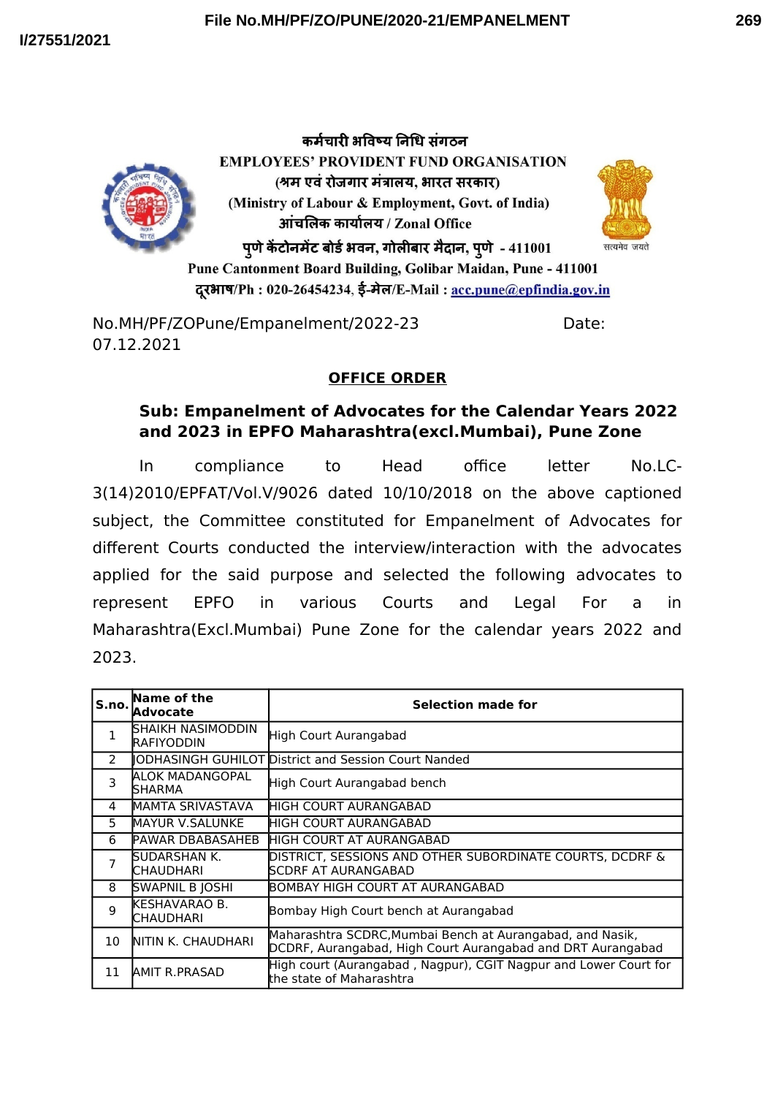



कर्मचारी भविष्य निधि संगठन **EMPLOYEES' PROVIDENT FUND ORGANISATION** (श्रम एवं रोजगार मंत्रालय, भारत सरकार) (Ministry of Labour & Employment, Govt. of India) आंचलिक कार्यालय / Zonal Office पूणे केंटोनमेंट बोर्ड भवन, गोलीबार मैदान, पूणे - 411001



Pune Cantonment Board Building, Golibar Maidan, Pune - 411001 दरभाष/Ph: 020-26454234, ई-मेल/E-Mail: acc.pune@epfindia.gov.in

No.MH/PF/ZOPune/Empanelment/2022-23 Date: 07.12.2021

## **OFFICE ORDER**

## **Sub: Empanelment of Advocates for the Calendar Years 2022 and 2023 in EPFO Maharashtra(excl.Mumbai), Pune Zone**

In compliance to Head office letter No.LC-3(14)2010/EPFAT/Vol.V/9026 dated 10/10/2018 on the above captioned subject, the Committee constituted for Empanelment of Advocates for different Courts conducted the interview/interaction with the advocates applied for the said purpose and selected the following advocates to represent EPFO in various Courts and Legal For a in Maharashtra(Excl.Mumbai) Pune Zone for the calendar years 2022 and 2023.

| S.no.       | Name of the<br><b>Advocate</b>         | Selection made for                                                                                                       |
|-------------|----------------------------------------|--------------------------------------------------------------------------------------------------------------------------|
| $\mathbf 1$ | SHAIKH NASIMODDIN<br><b>RAFIYODDIN</b> | High Court Aurangabad                                                                                                    |
| 2           |                                        | <b>IODHASINGH GUHILOT District and Session Court Nanded</b>                                                              |
| 3           | ALOK MADANGOPAL<br>SHARMA              | High Court Aurangabad bench                                                                                              |
| 4           | MAMTA SRIVASTAVA                       | <b>I</b> HIGH COURT AURANGABAD                                                                                           |
| 5           | <b>MAYUR V.SALUNKE</b>                 | IHIGH COURT AURANGABAD                                                                                                   |
| 6           | <b>PAWAR DBABASAHEB</b>                | HIGH COURT AT AURANGABAD                                                                                                 |
| 7           | SUDARSHAN K.<br>CHAUDHARI              | DISTRICT, SESSIONS AND OTHER SUBORDINATE COURTS, DCDRF &<br><b>SCDRF AT AURANGABAD</b>                                   |
| 8           | <b>SWAPNIL B JOSHI</b>                 | BOMBAY HIGH COURT AT AURANGABAD                                                                                          |
| 9           | KESHAVARAO B.<br>CHAUDHARI             | Bombay High Court bench at Aurangabad                                                                                    |
| 10          | NITIN K. CHAUDHARI                     | Maharashtra SCDRC, Mumbai Bench at Aurangabad, and Nasik,<br>DCDRF, Aurangabad, High Court Aurangabad and DRT Aurangabad |
| 11          | <b>AMIT R.PRASAD</b>                   | High court (Aurangabad, Nagpur), CGIT Nagpur and Lower Court for<br>the state of Maharashtra                             |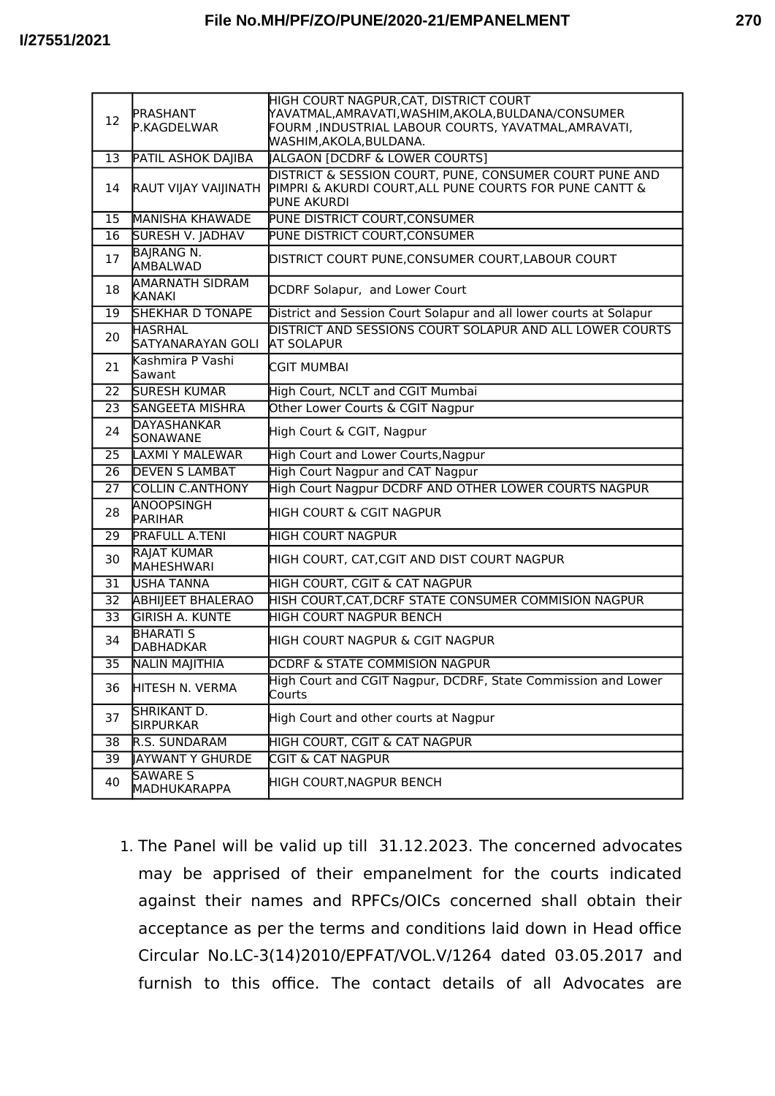| 12              | PRASHANT<br>P.KAGDELWAR                 | HIGH COURT NAGPUR, CAT, DISTRICT COURT<br>YAVATMAL,AMRAVATI,WASHIM,AKOLA,BULDANA/CONSUMER<br>FOURM ,INDUSTRIAL LABOUR COURTS, YAVATMAL,AMRAVATI,<br>MASHIM,AKOLA,BULDANA. |
|-----------------|-----------------------------------------|---------------------------------------------------------------------------------------------------------------------------------------------------------------------------|
| 13              | <b>PATIL ASHOK DAJIBA</b>               | ALGAON [DCDRF & LOWER COURTS]                                                                                                                                             |
| 14              | RAUT VIJAY VAIJINATH                    | DISTRICT & SESSION COURT, PUNE, CONSUMER COURT PUNE AND<br>PIMPRI & AKURDI COURT, ALL PUNE COURTS FOR PUNE CANTT &<br>PUNE AKURDI                                         |
| 15              | <b>MANISHA KHAWADE</b>                  | <b>PUNE DISTRICT COURT, CONSUMER</b>                                                                                                                                      |
| 16              | SURESH V. JADHAV                        | PUNE DISTRICT COURT, CONSUMER                                                                                                                                             |
| 17              | <b>BAJRANG N.</b><br>AMBALWAD           | DISTRICT COURT PUNE, CONSUMER COURT, LABOUR COURT                                                                                                                         |
| 18              | <b>AMARNATH SIDRAM</b><br><b>KANAKI</b> | DCDRF Solapur, and Lower Court                                                                                                                                            |
| 19              | SHEKHAR D TONAPE                        | District and Session Court Solapur and all lower courts at Solapur                                                                                                        |
| 20              | <b>HASRHAL</b><br>SATYANARAYAN GOLI     | DISTRICT AND SESSIONS COURT SOLAPUR AND ALL LOWER COURTS<br><b>AT SOLAPUR</b>                                                                                             |
| 21              | Kashmira P Vashi<br>Sawant              | <b>CGIT MUMBAI</b>                                                                                                                                                        |
| 22              | <b>SURESH KUMAR</b>                     | High Court, NCLT and CGIT Mumbai                                                                                                                                          |
| 23              | <b>SANGEETA MISHRA</b>                  | Other Lower Courts & CGIT Nagpur                                                                                                                                          |
| 24              | <b>DAYASHANKAR</b><br>SONAWANE          | High Court & CGIT, Nagpur                                                                                                                                                 |
| 25              | LAXMI Y MALEWAR                         | High Court and Lower Courts, Nagpur                                                                                                                                       |
| 26              | <b>DEVEN S LAMBAT</b>                   | High Court Nagpur and CAT Nagpur                                                                                                                                          |
| 27              | <b>COLLIN C.ANTHONY</b>                 | High Court Nagpur DCDRF AND OTHER LOWER COURTS NAGPUR                                                                                                                     |
| 28              | ANOOPSINGH<br><b>PARIHAR</b>            | HIGH COURT & CGIT NAGPUR                                                                                                                                                  |
| 29              | PRAFULL A.TENI                          | <b>HIGH COURT NAGPUR</b>                                                                                                                                                  |
| 30              | RAJAT KUMAR<br><b>MAHESHWARI</b>        | HIGH COURT, CAT, CGIT AND DIST COURT NAGPUR                                                                                                                               |
| $\overline{31}$ | <b>USHA TANNA</b>                       | HIGH COURT, CGIT & CAT NAGPUR                                                                                                                                             |
| 32              | <b>ABHIJEET BHALERAO</b>                | HISH COURT, CAT, DCRF STATE CONSUMER COMMISION NAGPUR                                                                                                                     |
| $\overline{33}$ | <b>GIRISH A. KUNTE</b>                  | <b>HIGH COURT NAGPUR BENCH</b>                                                                                                                                            |
| 34              | <b>BHARATI S</b><br><b>DABHADKAR</b>    | HIGH COURT NAGPUR & CGIT NAGPUR                                                                                                                                           |
| 35              | <b>NALIN MAJITHIA</b>                   | <b>DCDRF &amp; STATE COMMISION NAGPUR</b>                                                                                                                                 |
| 36              | HITESH N. VERMA                         | High Court and CGIT Nagpur, DCDRF, State Commission and Lower<br>Courts                                                                                                   |
| 37              | SHRIKANT D.<br><b>SIRPURKAR</b>         | High Court and other courts at Nagpur                                                                                                                                     |
| 38              | R.S. SUNDARAM                           | <b>HIGH COURT, CGIT &amp; CAT NAGPUR</b>                                                                                                                                  |
| 39              | <b>JAYWANT Y GHURDE</b>                 | <b>CGIT &amp; CAT NAGPUR</b>                                                                                                                                              |
| 40              | <b>SAWARE S</b><br>MADHUKARAPPA         | HIGH COURT, NAGPUR BENCH                                                                                                                                                  |

1. The Panel will be valid up till 31.12.2023. The concerned advocates may be apprised of their empanelment for the courts indicated against their names and RPFCs/OICs concerned shall obtain their acceptance as per the terms and conditions laid down in Head office Circular No.LC-3(14)2010/EPFAT/VOL.V/1264 dated 03.05.2017 and furnish to this office. The contact details of all Advocates are